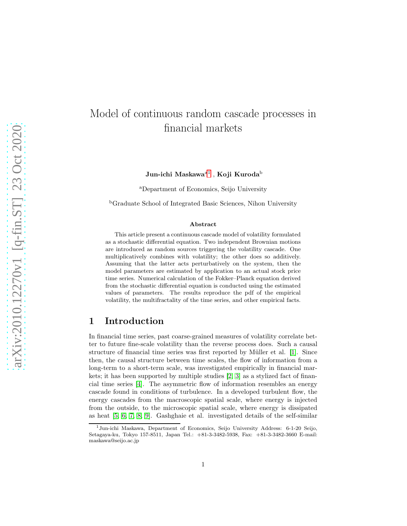# Model of continuous random cascade processes in financial markets

Jun-ichi Maskawa $^{\rm a1}$  $^{\rm a1}$  $^{\rm a1}$  , Koji Kuroda $^{\rm b}$ 

<sup>a</sup>Department of Economics, Seijo University

<sup>b</sup>Graduate School of Integrated Basic Sciences, Nihon University

#### Abstract

This article present a continuous cascade model of volatility formulated as a stochastic differential equation. Two independent Brownian motions are introduced as random sources triggering the volatility cascade. One multiplicatively combines with volatility; the other does so additively. Assuming that the latter acts perturbatively on the system, then the model parameters are estimated by application to an actual stock price time series. Numerical calculation of the Fokker–Planck equation derived from the stochastic differential equation is conducted using the estimated values of parameters. The results reproduce the pdf of the empirical volatility, the multifractality of the time series, and other empirical facts.

# 1 Introduction

In financial time series, past coarse-grained measures of volatility correlate better to future fine-scale volatility than the reverse process does. Such a causal structure of financial time series was first reported by Müller et al. [\[1\]](#page-13-0). Since then, the causal structure between time scales, the flow of information from a long-term to a short-term scale, was investigated empirically in financial markets; it has been supported by multiple studies [\[2,](#page-13-1) [3\]](#page-13-2) as a stylized fact of financial time series [\[4\]](#page-13-3). The asymmetric flow of information resembles an energy cascade found in conditions of turbulence. In a developed turbulent flow, the energy cascades from the macroscopic spatial scale, where energy is injected from the outside, to the microscopic spatial scale, where energy is dissipated as heat [\[5,](#page-13-4) [6,](#page-13-5) [7,](#page-13-6) [8,](#page-13-7) [9\]](#page-13-8). Gashghaie et al. investigated details of the self-similar

<span id="page-0-0"></span><sup>1</sup>Jun-ichi Maskawa, Department of Economics, Seijo University Address: 6-1-20 Seijo, Setagaya-ku, Tokyo 157-8511, Japan Tel.: +81-3-3482-5938, Fax: +81-3-3482-3660 E-mail: maskawa@seijo.ac.jp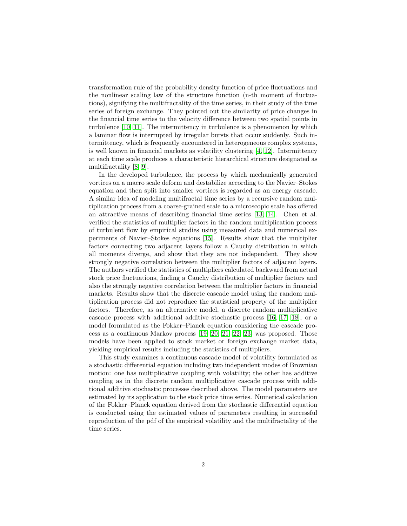transformation rule of the probability density function of price fluctuations and the nonlinear scaling law of the structure function (n-th moment of fluctuations), signifying the multifractality of the time series, in their study of the time series of foreign exchange. They pointed out the similarity of price changes in the financial time series to the velocity difference between two spatial points in turbulence [\[10,](#page-14-0) [11\]](#page-14-1). The intermittency in turbulence is a phenomenon by which a laminar flow is interrupted by irregular bursts that occur suddenly. Such intermittency, which is frequently encountered in heterogeneous complex systems, is well known in financial markets as volatility clustering  $[4, 12]$  $[4, 12]$ . Intermittency at each time scale produces a characteristic hierarchical structure designated as multifractality [\[8,](#page-13-7) [9\]](#page-13-8).

In the developed turbulence, the process by which mechanically generated vortices on a macro scale deform and destabilize according to the Navier–Stokes equation and then split into smaller vortices is regarded as an energy cascade. A similar idea of modeling multifractal time series by a recursive random multiplication process from a coarse-grained scale to a microscopic scale has offered an attractive means of describing financial time series [\[13,](#page-14-3) [14\]](#page-14-4). Chen et al. verified the statistics of multiplier factors in the random multiplication process of turbulent flow by empirical studies using measured data and numerical experiments of Navier–Stokes equations [\[15\]](#page-14-5). Results show that the multiplier factors connecting two adjacent layers follow a Cauchy distribution in which all moments diverge, and show that they are not independent. They show strongly negative correlation between the multiplier factors of adjacent layers. The authors verified the statistics of multipliers calculated backward from actual stock price fluctuations, finding a Cauchy distribution of multiplier factors and also the strongly negative correlation between the multiplier factors in financial markets. Results show that the discrete cascade model using the random multiplication process did not reproduce the statistical property of the multiplier factors. Therefore, as an alternative model, a discrete random multiplicative cascade process with additional additive stochastic process [\[16,](#page-14-6) [17,](#page-14-7) [18\]](#page-14-8), or a model formulated as the Fokker–Planck equation considering the cascade process as a continuous Markov process [\[19,](#page-14-9) [20,](#page-14-10) [21,](#page-14-11) [22,](#page-14-12) [23\]](#page-14-13) was proposed. Those models have been applied to stock market or foreign exchange market data, yielding empirical results including the statistics of multipliers.

This study examines a continuous cascade model of volatility formulated as a stochastic differential equation including two independent modes of Brownian motion: one has multiplicative coupling with volatility; the other has additive coupling as in the discrete random multiplicative cascade process with additional additive stochastic processes described above. The model parameters are estimated by its application to the stock price time series. Numerical calculation of the Fokker–Planck equation derived from the stochastic differential equation is conducted using the estimated values of parameters resulting in successful reproduction of the pdf of the empirical volatility and the multifractality of the time series.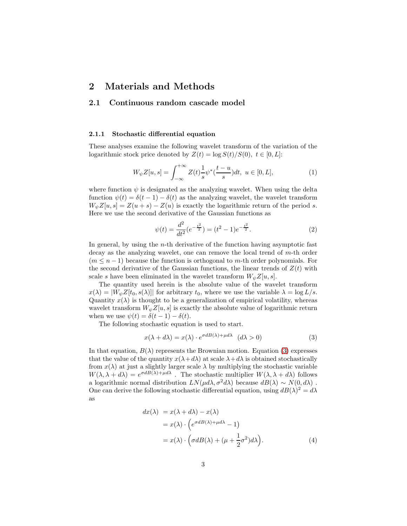### 2 Materials and Methods

### 2.1 Continuous random cascade model

#### 2.1.1 Stochastic differential equation

These analyses examine the following wavelet transform of the variation of the logarithmic stock price denoted by  $Z(t) = \log S(t)/S(0), t \in [0, L]$ :

$$
W_{\psi}Z[u,s] = \int_{-\infty}^{+\infty} Z(t) \frac{1}{s} \psi^*(\frac{t-u}{s}) dt, \ u \in [0,L],
$$
 (1)

where function  $\psi$  is designated as the analyzing wavelet. When using the delta function  $\psi(t) = \delta(t-1) - \delta(t)$  as the analyzing wavelet, the wavelet transform  $W_{\psi}Z[u, s] = Z(u + s) - Z(u)$  is exactly the logarithmic return of the period s. Here we use the second derivative of the Gaussian functions as

$$
\psi(t) = \frac{d^2}{dt^2} (e^{-\frac{t^2}{2}}) = (t^2 - 1)e^{-\frac{t^2}{2}}.
$$
\n(2)

In general, by using the  $n$ -th derivative of the function having asymptotic fast decay as the analyzing wavelet, one can remove the local trend of m-th order  $(m \leq n-1)$  because the function is orthogonal to m-th order polynomials. For the second derivative of the Gaussian functions, the linear trends of  $Z(t)$  with scale s have been eliminated in the wavelet transform  $W_{\psi}Z[u, s]$ .

The quantity used herein is the absolute value of the wavelet transform  $x(\lambda) = |W_{\psi}Z[t_0, s(\lambda)]|$  for arbitrary  $t_0$ , where we use the variable  $\lambda = \log L/s$ . Quantity  $x(\lambda)$  is thought to be a generalization of empirical volatility, whereas wavelet transform  $W_{\psi}Z[u, s]$  is exactly the absolute value of logarithmic return when we use  $\psi(t) = \delta(t-1) - \delta(t)$ .

The following stochastic equation is used to start.

<span id="page-2-0"></span>
$$
x(\lambda + d\lambda) = x(\lambda) \cdot e^{\sigma dB(\lambda) + \mu d\lambda} \quad (d\lambda > 0)
$$
\n(3)

In that equation,  $B(\lambda)$  represents the Brownian motion. Equation [\(3\)](#page-2-0) expresses that the value of the quantity  $x(\lambda + d\lambda)$  at scale  $\lambda + d\lambda$  is obtained stochastically from  $x(\lambda)$  at just a slightly larger scale  $\lambda$  by multiplying the stochastic variable  $W(\lambda, \lambda + d\lambda) = e^{\sigma dB(\lambda) + \mu d\lambda}$ . The stochastic multiplier  $W(\lambda, \lambda + d\lambda)$  follows a logarithmic normal distribution  $LN(\mu d\lambda, \sigma^2 d\lambda)$  because  $dB(\lambda) \sim N(0, d\lambda)$ . One can derive the following stochastic differential equation, using  $dB(\lambda)^2 = d\lambda$ as

<span id="page-2-1"></span>
$$
dx(\lambda) = x(\lambda + d\lambda) - x(\lambda)
$$
  
=  $x(\lambda) \cdot \left( e^{\sigma dB(\lambda) + \mu d\lambda} - 1 \right)$   
=  $x(\lambda) \cdot \left( \sigma dB(\lambda) + (\mu + \frac{1}{2}\sigma^2) d\lambda \right)$ . (4)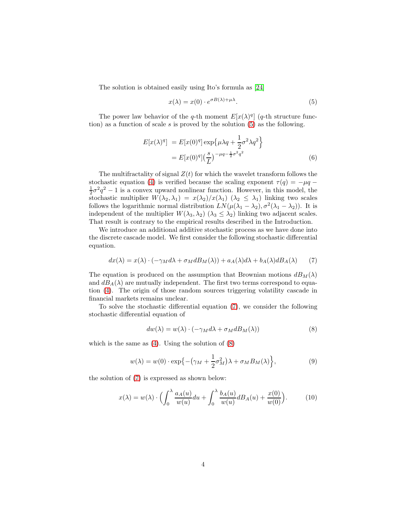The solution is obtained easily using Ito's formula as [\[24\]](#page-14-14)

<span id="page-3-0"></span>
$$
x(\lambda) = x(0) \cdot e^{\sigma B(\lambda) + \mu \lambda}.
$$
 (5)

The power law behavior of the q-th moment  $E[x(\lambda)^q]$  (q-th structure function) as a function of scale  $s$  is proved by the solution  $(5)$  as the following.

$$
E[x(\lambda)^{q}] = E[x(0)^{q}] \exp{\{\mu \lambda q + \frac{1}{2} \sigma^{2} \lambda q^{2}\}}
$$
  
= 
$$
E[x(0)^{q}] (\frac{s}{L})^{-\mu q - \frac{1}{2} \sigma^{2} q^{2}}
$$
(6)

The multifractality of signal  $Z(t)$  for which the wavelet transform follows the stochastic equation [\(4\)](#page-2-1) is verified because the scaling exponent  $\tau(q) = -\mu q$  $\frac{1}{2}\sigma^2 q^2 - 1$  is a convex upward nonlinear function. However, in this model, the stochastic multiplier  $W(\lambda_2, \lambda_1) = x(\lambda_2)/x(\lambda_1)$  ( $\lambda_2 \leq \lambda_1$ ) linking two scales follows the logarithmic normal distribution  $LN(\mu(\lambda_1 - \lambda_2), \sigma^2(\lambda_1 - \lambda_2))$ . It is independent of the multiplier  $W(\lambda_3, \lambda_2)$   $(\lambda_3 \leq \lambda_2)$  linking two adjacent scales. That result is contrary to the empirical results described in the Introduction.

We introduce an additional additive stochastic process as we have done into the discrete cascade model. We first consider the following stochastic differential equation.

<span id="page-3-1"></span>
$$
dx(\lambda) = x(\lambda) \cdot (-\gamma_M d\lambda + \sigma_M dB_M(\lambda)) + a_A(\lambda) d\lambda + b_A(\lambda) dB_A(\lambda) \tag{7}
$$

The equation is produced on the assumption that Brownian motions  $dB_M(\lambda)$ and  $dB_A(\lambda)$  are mutually independent. The first two terms correspond to equation [\(4\)](#page-2-1). The origin of those random sources triggering volatility cascade in financial markets remains unclear.

To solve the stochastic differential equation [\(7\)](#page-3-1), we consider the following stochastic differential equation of

<span id="page-3-2"></span>
$$
dw(\lambda) = w(\lambda) \cdot (-\gamma_M d\lambda + \sigma_M dB_M(\lambda)) \tag{8}
$$

which is the same as  $(4)$ . Using the solution of  $(8)$ 

$$
w(\lambda) = w(0) \cdot \exp\left\{-\left(\gamma_M + \frac{1}{2}\sigma_M^2\right)\lambda + \sigma_M B_M(\lambda)\right\},\tag{9}
$$

the solution of [\(7\)](#page-3-1) is expressed as shown below:

<span id="page-3-3"></span>
$$
x(\lambda) = w(\lambda) \cdot \Biggl( \int_0^{\lambda} \frac{a_A(u)}{w(u)} du + \int_0^{\lambda} \frac{b_A(u)}{w(u)} dB_A(u) + \frac{x(0)}{w(0)} \Biggr). \tag{10}
$$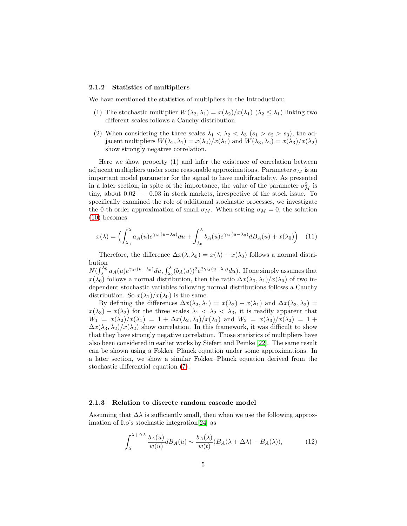#### 2.1.2 Statistics of multipliers

We have mentioned the statistics of multipliers in the Introduction:

- (1) The stochastic multiplier  $W(\lambda_2, \lambda_1) = x(\lambda_2)/x(\lambda_1)$   $(\lambda_2 \leq \lambda_1)$  linking two different scales follows a Cauchy distribution.
- (2) When considering the three scales  $\lambda_1 < \lambda_2 < \lambda_3$  ( $s_1 > s_2 > s_3$ ), the adjacent multipliers  $W(\lambda_2, \lambda_1) = x(\lambda_2)/x(\lambda_1)$  and  $W(\lambda_3, \lambda_2) = x(\lambda_3)/x(\lambda_2)$ show strongly negative correlation.

Here we show property (1) and infer the existence of correlation between adjacent multipliers under some reasonable approximations. Parameter  $\sigma_M$  is an important model parameter for the signal to have multifractality. As presented in a later section, in spite of the importance, the value of the parameter  $\sigma_M^2$  is tiny, about  $0.02 - -0.03$  in stock markets, irrespective of the stock issue. To specifically examined the role of additional stochastic processes, we investigate the 0-th order approximation of small  $\sigma_M$ . When setting  $\sigma_M = 0$ , the solution [\(10\)](#page-3-3) becomes

$$
x(\lambda) = \left(\int_{\lambda_0}^{\lambda} a_A(u)e^{\gamma_M(u-\lambda_0)} du + \int_{\lambda_0}^{\lambda} b_A(u)e^{\gamma_M(u-\lambda_0)} dB_A(u) + x(\lambda_0)\right) \tag{11}
$$

Therefore, the difference  $\Delta x(\lambda, \lambda_0) = x(\lambda) - x(\lambda_0)$  follows a normal distribution

 $N(\int_{\lambda}^{\lambda_0} a_A(u)e^{\gamma_M(u-\lambda_0)}du, \int_{\lambda_0}^{\lambda} (b_A(u))^2 e^{2\gamma_M(u-\lambda_0)}du)$ . If one simply assumes that  $x(\lambda_0)$  follows a normal distribution, then the ratio  $\Delta x(\lambda_0, \lambda_1)/x(\lambda_0)$  of two independent stochastic variables following normal distributions follows a Cauchy distribution. So  $x(\lambda_1)/x(\lambda_0)$  is the same.

By defining the differences  $\Delta x(\lambda_2, \lambda_1) = x(\lambda_2) - x(\lambda_1)$  and  $\Delta x(\lambda_3, \lambda_2) =$  $x(\lambda_3) - x(\lambda_2)$  for the three scales  $\lambda_1 < \lambda_2 < \lambda_3$ , it is readily apparent that  $W_1 = x(\lambda_2)/x(\lambda_1) = 1 + \Delta x(\lambda_2, \lambda_1)/x(\lambda_1)$  and  $W_2 = x(\lambda_3)/x(\lambda_2) = 1 +$  $\Delta x(\lambda_3, \lambda_2)/x(\lambda_2)$  show correlation. In this framework, it was difficult to show that they have strongly negative correlation. Those statistics of multipliers have also been considered in earlier works by Siefert and Peinke [\[22\]](#page-14-12). The same result can be shown using a Fokker–Planck equation under some approximations. In a later section, we show a similar Fokker–Planck equation derived from the stochastic differential equation [\(7\)](#page-3-1).

#### 2.1.3 Relation to discrete random cascade model

Assuming that  $\Delta\lambda$  is sufficiently small, then when we use the following approximation of Ito's stochastic integration[\[24\]](#page-14-14) as

$$
\int_{\lambda}^{\lambda + \Delta \lambda} \frac{b_A(u)}{w(u)} dB_A(u) \sim \frac{b_A(\lambda)}{w(t)} (B_A(\lambda + \Delta \lambda) - B_A(\lambda)), \tag{12}
$$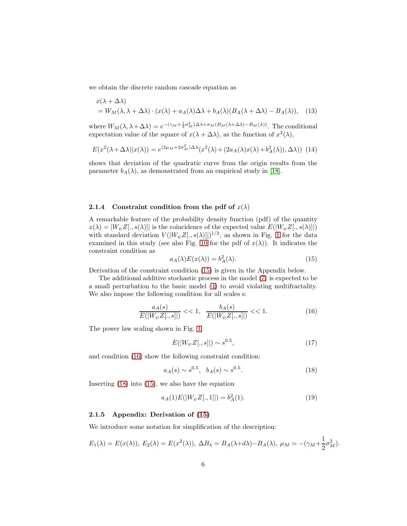we obtain the discrete random cascade equation as

$$
x(\lambda + \Delta \lambda)
$$
  
=  $W_M(\lambda, \lambda + \Delta \lambda) \cdot (x(\lambda) + a_A(\lambda)\Delta \lambda + b_A(\lambda)(B_A(\lambda + \Delta \lambda) - B_A(\lambda)),$  (13)

where  $W_M(\lambda, \lambda + \Delta \lambda) = e^{-(\gamma_M + \frac{1}{2}\sigma_M^2)\Delta\lambda + \sigma_M(B_M(\lambda + \Delta \lambda) - B_M(\lambda))}$ . The conditional expectation value of the square of  $x(\lambda + \Delta \lambda)$ , as the function of  $x^2(\lambda)$ ,

$$
E(x^{2}(\lambda + \Delta\lambda)|x(\lambda)) = e^{(2\mu_{M} + 2\sigma_{M}^{2})\Delta\lambda}(x^{2}(\lambda) + (2a_{A}(\lambda)x(\lambda) + b_{A}^{2}(\lambda)), \Delta\lambda))
$$
(14)

shows that deviation of the quadratic curve from the origin results from the parameter  $b_A(\lambda)$ , as demonstrated from an empirical study in [\[18\]](#page-14-8).

### 2.1.4 Constraint condition from the pdf of  $x(\lambda)$

A remarkable feature of the probability density function (pdf) of the quantity  $x(\lambda) = |W_{\psi}Z[, s(\lambda)|$  is the coincidence of the expected value  $E(|W_{\psi}Z[, s(\lambda)|)$ with standard deviation  $V(|W_{\psi}Z[, s(\lambda)]|)^{1/2}$ , as shown in Fig. [1](#page-15-0) for the data examined in this study (see also Fig. [10](#page-24-0) for the pdf of  $x(\lambda)$ ). It indicates the constraint condition as

<span id="page-5-3"></span><span id="page-5-0"></span>
$$
a_A(\lambda)E(x(\lambda)) = b_A^2(\lambda). \tag{15}
$$

Derivation of the constraint condition [\(15\)](#page-5-0) is given in the Appendix below.

The additional additive stochastic process in the model [\(7\)](#page-3-1) is expected to be a small perturbation to the basic model [\(4\)](#page-2-1) to avoid violating multifractality. We also impose the following condition for all scales s:

<span id="page-5-1"></span>
$$
\frac{a_A(s)}{E(|W_{\psi}Z[,s]|} << 1, \quad \frac{b_A(s)}{E(|W_{\psi}Z[:,s]|)} << 1. \tag{16}
$$

The power law scaling shown in Fig. [1,](#page-15-0)

$$
E(|W_{\psi}Z[.,s]|) \sim s^{0.5},\tag{17}
$$

and condition [\(16\)](#page-5-1) show the following constraint condition:

<span id="page-5-2"></span>
$$
a_A(s) \sim s^{0.5}, \quad b_A(s) \sim s^{0.5}.\tag{18}
$$

Inserting [\(18\)](#page-5-2) into [\(15\)](#page-5-0), we also have the equation

<span id="page-5-4"></span>
$$
a_A(1)E(|W_{\psi}Z[.,1]|) = b_A^2(1). \tag{19}
$$

### 2.1.5 Appendix: Derivation of [\(15\)](#page-5-0)

We introduce some notation for simplification of the description:

$$
E_1(\lambda) = E(x(\lambda)), E_2(\lambda) = E(x^2(\lambda)), \Delta B_\lambda = B_A(\lambda + d\lambda) - B_A(\lambda), \mu_M = -(\gamma_M + \frac{1}{2}\sigma_M^2).
$$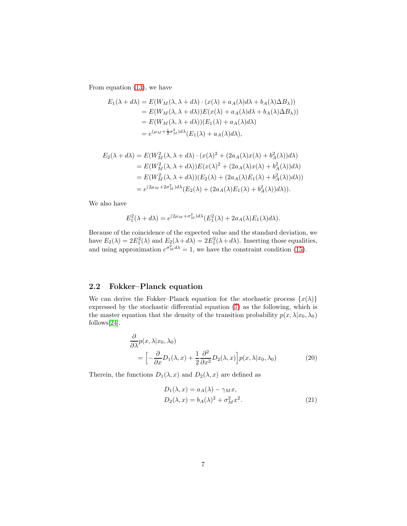From equation [\(13\)](#page-5-3), we have

$$
E_1(\lambda + d\lambda) = E(W_M(\lambda, \lambda + d\lambda) \cdot (x(\lambda) + a_A(\lambda)d\lambda + b_A(\lambda)\Delta B_\lambda))
$$
  
=  $E(W_M(\lambda, \lambda + d\lambda))E(x(\lambda) + a_A(\lambda)d\lambda + b_A(\lambda)\Delta B_\lambda))$   
=  $E(W_M(\lambda, \lambda + d\lambda))(E_1(\lambda) + a_A(\lambda)d\lambda)$   
=  $e^{(\mu_M + \frac{1}{2}\sigma_M^2)d\lambda}(E_1(\lambda) + a_A(\lambda)d\lambda),$ 

$$
E_2(\lambda + d\lambda) = E(W_M^2(\lambda, \lambda + d\lambda) \cdot (x(\lambda)^2 + (2a_A(\lambda)x(\lambda) + b_A^2(\lambda))d\lambda)
$$
  
=  $E(W_M^2(\lambda, \lambda + d\lambda))E(x(\lambda)^2 + (2a_A(\lambda)x(\lambda) + b_A^2(\lambda))d\lambda)$   
=  $E(W_M^2(\lambda, \lambda + d\lambda))(E_2(\lambda) + (2a_A(\lambda)E_1(\lambda) + b_A^2(\lambda))d\lambda))$   
=  $e^{(2\mu_M + 2\sigma_M^2)d\lambda}(E_2(\lambda) + (2a_A(\lambda)E_1(\lambda) + b_A^2(\lambda))d\lambda)).$ 

We also have

$$
E_1^2(\lambda + d\lambda) = e^{(2\mu_M + \sigma_M^2) d\lambda} (E_1^2(\lambda) + 2a_A(\lambda) E_1(\lambda) d\lambda).
$$

Because of the coincidence of the expected value and the standard deviation, we have  $E_2(\lambda) = 2E_1^2(\lambda)$  and  $E_2(\lambda + d\lambda) = 2E_1^2(\lambda + d\lambda)$ . Inserting those equalities, and using approximation  $e^{\sigma_M^2 d\lambda} = 1$ , we have the constraint condition [\(15\)](#page-5-0).

### 2.2 Fokker–Planck equation

We can derive the Fokker–Planck equation for the stochastic process  $\{x(\lambda)\}$ expressed by the stochastic differential equation [\(7\)](#page-3-1) as the following, which is the master equation that the density of the transition probability  $p(x, \lambda | x_0, \lambda_0)$ follows[\[24\]](#page-14-14).

$$
\frac{\partial}{\partial \lambda} p(x, \lambda | x_0, \lambda_0) \n= \left[ -\frac{\partial}{\partial x} D_1(\lambda, x) + \frac{1}{2} \frac{\partial^2}{\partial x^2} D_2(\lambda, x) \right] p(x, \lambda | x_0, \lambda_0)
$$
\n(20)

Therein, the functions  $D_1(\lambda, x)$  and  $D_2(\lambda, x)$  are defined as

<span id="page-6-0"></span>
$$
D_1(\lambda, x) = a_A(\lambda) - \gamma_M x,
$$
  
\n
$$
D_2(\lambda, x) = b_A(\lambda)^2 + \sigma_M^2 x^2.
$$
\n(21)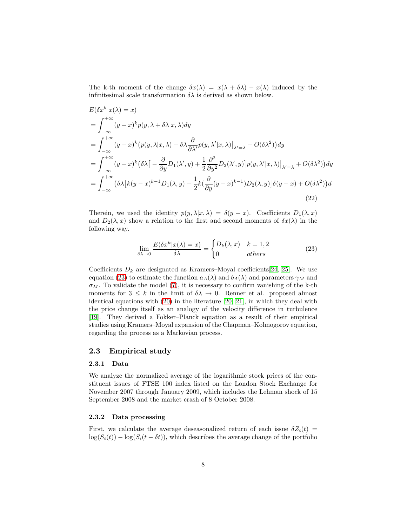The k-th moment of the change  $\delta x(\lambda) = x(\lambda + \delta \lambda) - x(\lambda)$  induced by the infinitesimal scale transformation  $\delta \lambda$  is derived as shown below.

$$
E(\delta x^{k} | x(\lambda) = x)
$$
  
\n
$$
= \int_{-\infty}^{+\infty} (y - x)^{k} p(y, \lambda + \delta \lambda | x, \lambda) dy
$$
  
\n
$$
= \int_{-\infty}^{+\infty} (y - x)^{k} (p(y, \lambda | x, \lambda) + \delta \lambda \frac{\partial}{\partial \lambda'} p(y, \lambda' | x, \lambda)|_{\lambda' = \lambda} + O(\delta \lambda^{2})) dy
$$
  
\n
$$
= \int_{-\infty}^{+\infty} (y - x)^{k} (\delta \lambda \left[ -\frac{\partial}{\partial y} D_{1}(\lambda', y) + \frac{1}{2} \frac{\partial^{2}}{\partial y^{2}} D_{2}(\lambda', y) \right] p(y, \lambda' | x, \lambda)|_{\lambda' = \lambda} + O(\delta \lambda^{2})) dy
$$
  
\n
$$
= \int_{-\infty}^{+\infty} (\delta \lambda [k(y - x)^{k-1} D_{1}(\lambda, y) + \frac{1}{2} k (\frac{\partial}{\partial y} (y - x)^{k-1}) D_{2}(\lambda, y)] \delta(y - x) + O(\delta \lambda^{2})) d
$$
\n(22)

Therein, we used the identity  $p(y, \lambda | x, \lambda) = \delta(y - x)$ . Coefficients  $D_1(\lambda, x)$ and  $D_2(\lambda, x)$  show a relation to the first and second moments of  $\delta x(\lambda)$  in the following way.

<span id="page-7-1"></span><span id="page-7-0"></span>
$$
\lim_{\delta\lambda \to 0} \frac{E(\delta x^k | x(\lambda) = x)}{\delta\lambda} = \begin{cases} D_k(\lambda, x) & k = 1, 2\\ 0 & others \end{cases}
$$
 (23)

Coefficients  $D_k$  are designated as Kramers–Moyal coefficients[\[24,](#page-14-14) [25\]](#page-15-1). We use equation [\(23\)](#page-7-0) to estimate the function  $a_A(\lambda)$  and  $b_A(\lambda)$  and parameters  $\gamma_M$  and  $\sigma_M$ . To validate the model [\(7\)](#page-3-1), it is necessary to confirm vanishing of the k-th moments for  $3 \leq k$  in the limit of  $\delta \lambda \to 0$ . Renner et al. proposed almost identical equations with [\(20\)](#page-6-0) in the literature [\[20,](#page-14-10) [21\]](#page-14-11), in which they deal with the price change itself as an analogy of the velocity difference in turbulence [\[19\]](#page-14-9). They derived a Fokker–Planck equation as a result of their empirical studies using Kramers–Moyal expansion of the Chapman–Kolmogorov equation, regarding the process as a Markovian process.

### 2.3 Empirical study

#### 2.3.1 Data

We analyze the normalized average of the logarithmic stock prices of the constituent issues of FTSE 100 index listed on the London Stock Exchange for November 2007 through January 2009, which includes the Lehman shock of 15 September 2008 and the market crash of 8 October 2008.

#### 2.3.2 Data processing

First, we calculate the average deseasonalized return of each issue  $\delta Z_i(t)$  =  $log(S_i(t)) - log(S_i(t - \delta t))$ , which describes the average change of the portfolio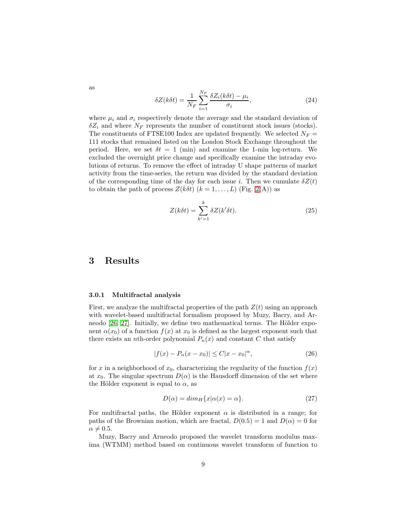$$
\delta Z(k\delta t) = \frac{1}{N_F} \sum_{i=1}^{N_F} \frac{\delta Z_i(k\delta t) - \mu_i}{\sigma_i},\tag{24}
$$

where  $\mu_i$  and  $\sigma_i$  respectively denote the average and the standard deviation of  $\delta Z_i$  and where  $N_F$  represents the number of constituent stock issues (stocks). The constituents of FTSE100 Index are updated frequently. We selected  $N_F =$ 111 stocks that remained listed on the London Stock Exchange throughout the period. Here, we set  $\delta t = 1$  (min) and examine the 1-min log-return. We excluded the overnight price change and specifically examine the intraday evolutions of returns. To remove the effect of intraday U shape patterns of market activity from the time-series, the return was divided by the standard deviation of the corresponding time of the day for each issue i. Then we cumulate  $\delta Z(t)$ to obtain the path of process  $Z(k\delta t)$   $(k = 1, ..., L)$  (Fig. [2\(](#page-16-0)A)) as

$$
Z(k\delta t) = \sum_{k'=1}^{k} \delta Z(k'\delta t). \tag{25}
$$

## 3 Results

### 3.0.1 Multifractal analysis

First, we analyze the multifractal properties of the path  $Z(t)$  using an approach with wavelet-based multifractal formalism proposed by Muzy, Bacry, and Arneodo  $[26, 27]$  $[26, 27]$ . Initially, we define two mathematical terms. The Hölder exponent  $\alpha(x_0)$  of a function  $f(x)$  at  $x_0$  is defined as the largest exponent such that there exists an *n*th-order polynomial  $P_n(x)$  and constant C that satisfy

$$
|f(x) - P_n(x - x_0)| \le C|x - x_0|^\alpha,
$$
\n(26)

for x in a neighborhood of  $x_0$ , characterizing the regularity of the function  $f(x)$ at  $x_0$ . The singular spectrum  $D(\alpha)$  is the Hausdorff dimension of the set where the Hölder exponent is equal to  $\alpha$ , as

$$
D(\alpha) = \dim_H \{ x | \alpha(x) = \alpha \}. \tag{27}
$$

For multifractal paths, the Hölder exponent  $\alpha$  is distributed in a range; for paths of the Brownian motion, which are fractal,  $D(0.5) = 1$  and  $D(\alpha) = 0$  for  $\alpha \neq 0.5.$ 

Muzy, Bacry and Arneodo proposed the wavelet transform modulus maxima (WTMM) method based on continuous wavelet transform of function to

as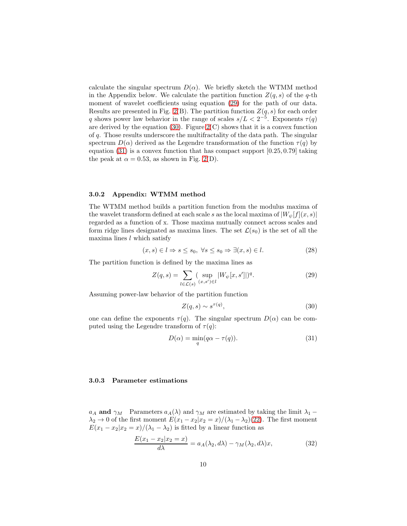calculate the singular spectrum  $D(\alpha)$ . We briefly sketch the WTMM method in the Appendix below. We calculate the partition function  $Z(q, s)$  of the q-th moment of wavelet coefficients using equation  $(29)$  for the path of our data. Results are presented in Fig. [2\(](#page-16-0)B). The partition function  $Z(q, s)$  for each order q shows power law behavior in the range of scales  $s/L < 2^{-5}$ . Exponents  $\tau(q)$ are derived by the equation [\(30\)](#page-9-1). Figure  $2(C)$  shows that it is a convex function of q. Those results underscore the multifractality of the data path. The singular spectrum  $D(\alpha)$  derived as the Legendre transformation of the function  $\tau(q)$  by equation  $(31)$  is a convex function that has compact support  $[0.25, 0.79]$  taking the peak at  $\alpha = 0.53$ , as shown in Fig. [2\(](#page-16-0)D).

#### 3.0.2 Appendix: WTMM method

The WTMM method builds a partition function from the modulus maxima of the wavelet transform defined at each scale s as the local maxima of  $|W_{\psi}[f](x, s)|$ regarded as a function of x. Those maxima mutually connect across scales and form ridge lines designated as maxima lines. The set  $\mathcal{L}(s_0)$  is the set of all the maxima lines  $l$  which satisfy

$$
(x, s) \in l \Rightarrow s \le s_0, \ \forall s \le s_0 \Rightarrow \exists (x, s) \in l. \tag{28}
$$

The partition function is defined by the maxima lines as

<span id="page-9-0"></span>
$$
Z(q,s) = \sum_{l \in \mathcal{L}(s)} (\sup_{(x,s') \in l} |W_{\psi}[x,s']|)^{q}.
$$
 (29)

Assuming power-law behavior of the partition function

<span id="page-9-1"></span>
$$
Z(q,s) \sim s^{\tau(q)},\tag{30}
$$

one can define the exponents  $\tau(q)$ . The singular spectrum  $D(\alpha)$  can be computed using the Legendre transform of  $\tau(q)$ :

<span id="page-9-2"></span>
$$
D(\alpha) = \min_{q} (q\alpha - \tau(q)).
$$
\n(31)

### 3.0.3 Parameter estimations

 $a_A$  and  $\gamma_M$  Parameters  $a_A(\lambda)$  and  $\gamma_M$  are estimated by taking the limit  $\lambda_1$  –  $\lambda_2 \to 0$  of the first moment  $E(x_1 - x_2|x_2 = x)/(\lambda_1 - \lambda_2)(22)$  $E(x_1 - x_2|x_2 = x)/(\lambda_1 - \lambda_2)(22)$ . The first moment  $E(x_1 - x_2 | x_2 = x) / (\lambda_1 - \lambda_2)$  is fitted by a linear function as

<span id="page-9-3"></span>
$$
\frac{E(x_1 - x_2|x_2 = x)}{d\lambda} = a_A(\lambda_2, d\lambda) - \gamma_M(\lambda_2, d\lambda)x,\tag{32}
$$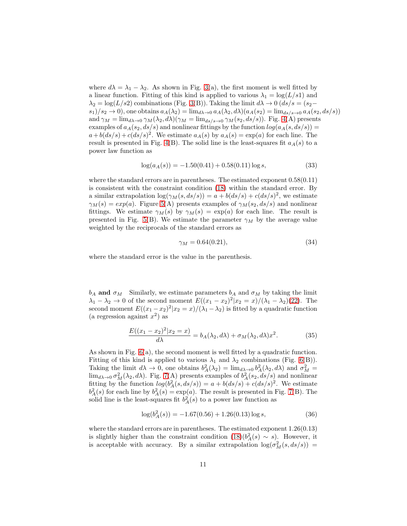where  $d\lambda = \lambda_1 - \lambda_2$ . As shown in Fig. [3\(](#page-17-0)a), the first moment is well fitted by a linear function. Fitting of this kind is applied to various  $\lambda_1 = \log(L/s1)$  and  $\lambda_2 = \log(L/s2)$  combinations (Fig. [3\(](#page-17-0)B)). Taking the limit  $d\lambda \to 0$  ( $ds/s = (s_2$  $s_1/s_2 \rightarrow 0$ , one obtains  $a_A(\lambda_2) = \lim_{d\lambda \rightarrow 0} a_A(\lambda_2, d\lambda) (a_A(s_2) = \lim_{d\lambda \rightarrow 0} a_A(s_2, ds/s))$ and  $\gamma_M = \lim_{d\lambda \to 0} \gamma_M(\lambda_2, d\lambda)(\gamma_M = \lim_{d\lambda s \to 0} \gamma_M(s_2, ds/s))$ . Fig. [4\(](#page-18-0)A) presents examples of  $a_A(s_2, ds/s)$  and nonlinear fittings by the function  $log(a_A(s, ds/s))$  $a+b(ds/s)+c(ds/s)^2$ . We estimate  $a<sub>A</sub>(s)$  by  $a<sub>A</sub>(s) = \exp(a)$  for each line. The result is presented in Fig. [4\(](#page-18-0)B). The solid line is the least-squares fit  $a<sub>A</sub>(s)$  to a power law function as

<span id="page-10-0"></span>
$$
\log(a_A(s)) = -1.50(0.41) + 0.58(0.11) \log s,\tag{33}
$$

where the standard errors are in parentheses. The estimated exponent 0.58(0.11) is consistent with the constraint condition [\(18\)](#page-5-2) within the standard error. By a similar extrapolation  $\log(\gamma_M(s, ds/s)) = a + b(ds/s) + c(ds/s)^2$ , we estimate  $\gamma_M(s) = exp(a)$ . Figure [5\(](#page-19-0)A) presents examples of  $\gamma_M(s_2, ds/s)$  and nonlinear fittings. We estimate  $\gamma_M(s)$  by  $\gamma_M(s) = \exp(a)$  for each line. The result is presented in Fig. [5\(](#page-19-0)B). We estimate the parameter  $\gamma_M$  by the average value weighted by the reciprocals of the standard errors as

$$
\gamma_M = 0.64(0.21),\tag{34}
$$

where the standard error is the value in the parenthesis.

 $b_A$  and  $\sigma_M$  Similarly, we estimate parameters  $b_A$  and  $\sigma_M$  by taking the limit  $\lambda_1 - \lambda_2 \to 0$  of the second moment  $E((x_1 - x_2)^2 | x_2 = x) / (\lambda_1 - \lambda_2)(22)$  $E((x_1 - x_2)^2 | x_2 = x) / (\lambda_1 - \lambda_2)(22)$ . The second moment  $E((x_1-x_2)^2|x_2=x)/(\lambda_1-\lambda_2)$  is fitted by a quadratic function (a regression against  $x^2$ ) as

<span id="page-10-2"></span>
$$
\frac{E((x_1 - x_2)^2 | x_2 = x)}{d\lambda} = b_A(\lambda_2, d\lambda) + \sigma_M(\lambda_2, d\lambda) x^2.
$$
 (35)

As shown in Fig.  $6(a)$ , the second moment is well fitted by a quadratic function. Fitting of this kind is applied to various  $\lambda_1$  and  $\lambda_2$  combinations (Fig. [6\(](#page-20-0)B)). Taking the limit  $d\lambda \to 0$ , one obtains  $b_A^2(\lambda_2) = \lim_{d\lambda \to 0} b_A^2(\lambda_2, d\lambda)$  and  $\sigma_M^2 =$  $\lim_{d\lambda\to 0} \sigma_M^2(\lambda_2, d\lambda)$ . Fig. [7\(](#page-21-0)A) presents examples of  $b_A^2(s_2, ds/s)$  and nonlinear fitting by the function  $log(b_A^2(s, ds/s)) = a + b(ds/s) + c(ds/s)^2$ . We estimate  $b_A^2(s)$  for each line by  $b_A^2(s) = \exp(a)$ . The result is presented in Fig. [7\(](#page-21-0)B). The solid line is the least-squares fit  $b_A^2(s)$  to a power law function as

<span id="page-10-1"></span>
$$
\log(b_A^2(s)) = -1.67(0.56) + 1.26(0.13)\log s,\tag{36}
$$

where the standard errors are in parentheses. The estimated exponent  $1.26(0.13)$ is slightly higher than the constraint condition  $(18)(b_A^2(s) \sim s)$ . However, it is acceptable with accuracy. By a similar extrapolation  $\log(\sigma_M^2(s, ds/s))$  =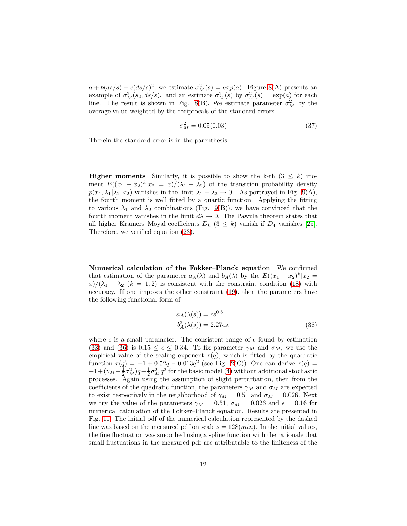$a + b(ds/s) + c(ds/s)^2$ , we estimate  $\sigma_M^2(s) = exp(a)$ . Figure [8\(](#page-22-0)A) presents an example of  $\sigma_M^2(s_2, ds/s)$ . and an estimate  $\sigma_M^2(s)$  by  $\sigma_M^2(s) = \exp(a)$  for each line. The result is shown in Fig. [8\(](#page-22-0)B). We estimate parameter  $\sigma_M^2$  by the average value weighted by the reciprocals of the standard errors.

$$
\sigma_M^2 = 0.05(0.03) \tag{37}
$$

Therein the standard error is in the parenthesis.

**Higher moments** Similarly, it is possible to show the k-th  $(3 \leq k)$  moment  $E((x_1 - x_2)^k | x_2 = x) / (\lambda_1 - \lambda_2)$  of the transition probability density  $p(x_1, \lambda_1 | \lambda_2, x_2)$  vanishes in the limit  $\lambda_1 - \lambda_2 \to 0$ . As portrayed in Fig. [9\(](#page-23-0)A), the fourth moment is well fitted by a quartic function. Applying the fitting to various  $\lambda_1$  and  $\lambda_2$  combinations (Fig. [9\(](#page-23-0)B)). we have convinced that the fourth moment vanishes in the limit  $d\lambda \to 0$ . The Pawula theorem states that all higher Kramers–Moyal coefficients  $D_k$  (3  $\leq$  k) vanish if  $D_4$  vanishes [\[25\]](#page-15-1). Therefore, we verified equation [\(23\)](#page-7-0).

Numerical calculation of the Fokker–Planck equation We confirmed that estimation of the parameter  $a_A(\lambda)$  and  $b_A(\lambda)$  by the  $E((x_1 - x_2)^k | x_2 =$  $x/(\lambda_1 - \lambda_2)$  (k = 1,2) is consistent with the constraint condition [\(18\)](#page-5-2) with accuracy. If one imposes the other constraint [\(19\)](#page-5-4), then the parameters have the following functional form of

$$
a_A(\lambda(s)) = \epsilon s^{0.5}
$$
  
\n
$$
b_A^2(\lambda(s)) = 2.27\epsilon s,
$$
\n(38)

where  $\epsilon$  is a small parameter. The consistent range of  $\epsilon$  found by estimation [\(33\)](#page-10-0) and [\(36\)](#page-10-1) is  $0.15 \le \epsilon \le 0.34$ . To fix parameter  $\gamma_M$  and  $\sigma_M$ , we use the empirical value of the scaling exponent  $\tau(q)$ , which is fitted by the quadratic function  $\tau(q) = -1 + 0.52q - 0.013q^2$  (see Fig. [2\(](#page-16-0)C)). One can derive  $\tau(q) =$  $-1+(\gamma_M+\frac{1}{2}\sigma_M^2)q-\frac{1}{2}\sigma_M^2q^2$  for the basic model [\(4\)](#page-2-1) without additional stochastic processes. Again using the assumption of slight perturbation, then from the coefficients of the quadratic function, the parameters  $\gamma_M$  and  $\sigma_M$  are expected to exist respectively in the neighborhood of  $\gamma_M = 0.51$  and  $\sigma_M = 0.026$ . Next we try the value of the parameters  $\gamma_M = 0.51$ ,  $\sigma_M = 0.026$  and  $\epsilon = 0.16$  for numerical calculation of the Fokker–Planck equation. Results are presented in Fig. [10.](#page-24-0) The initial pdf of the numerical calculation represented by the dashed line was based on the measured pdf on scale  $s = 128(min)$ . In the initial values, the fine fluctuation was smoothed using a spline function with the rationale that small fluctuations in the measured pdf are attributable to the finiteness of the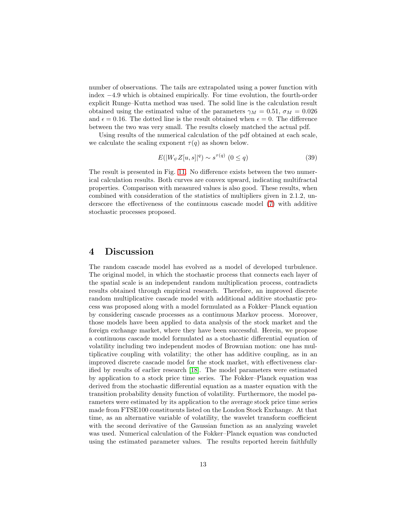number of observations. The tails are extrapolated using a power function with index −4.9 which is obtained empirically. For time evolution, the fourth-order explicit Runge–Kutta method was used. The solid line is the calculation result obtained using the estimated value of the parameters  $\gamma_M = 0.51$ ,  $\sigma_M = 0.026$ and  $\epsilon = 0.16$ . The dotted line is the result obtained when  $\epsilon = 0$ . The difference between the two was very small. The results closely matched the actual pdf.

Using results of the numerical calculation of the pdf obtained at each scale, we calculate the scaling exponent  $\tau(q)$  as shown below.

$$
E(|W_{\psi}Z[u,s]|^{q}) \sim s^{\tau(q)} \ (0 \le q)
$$
\n(39)

The result is presented in Fig. [11.](#page-25-0) No difference exists between the two numerical calculation results. Both curves are convex upward, indicating multifractal properties. Comparison with measured values is also good. These results, when combined with consideration of the statistics of multipliers given in 2.1.2, underscore the effectiveness of the continuous cascade model [\(7\)](#page-3-1) with additive stochastic processes proposed.

### 4 Discussion

The random cascade model has evolved as a model of developed turbulence. The original model, in which the stochastic process that connects each layer of the spatial scale is an independent random multiplication process, contradicts results obtained through empirical research. Therefore, an improved discrete random multiplicative cascade model with additional additive stochastic process was proposed along with a model formulated as a Fokker–Planck equation by considering cascade processes as a continuous Markov process. Moreover, those models have been applied to data analysis of the stock market and the foreign exchange market, where they have been successful. Herein, we propose a continuous cascade model formulated as a stochastic differential equation of volatility including two independent modes of Brownian motion: one has multiplicative coupling with volatility; the other has additive coupling, as in an improved discrete cascade model for the stock market, with effectiveness clarified by results of earlier research [\[18\]](#page-14-8). The model parameters were estimated by application to a stock price time series. The Fokker–Planck equation was derived from the stochastic differential equation as a master equation with the transition probability density function of volatility. Furthermore, the model parameters were estimated by its application to the average stock price time series made from FTSE100 constituents listed on the London Stock Exchange. At that time, as an alternative variable of volatility, the wavelet transform coefficient with the second derivative of the Gaussian function as an analyzing wavelet was used. Numerical calculation of the Fokker–Planck equation was conducted using the estimated parameter values. The results reported herein faithfully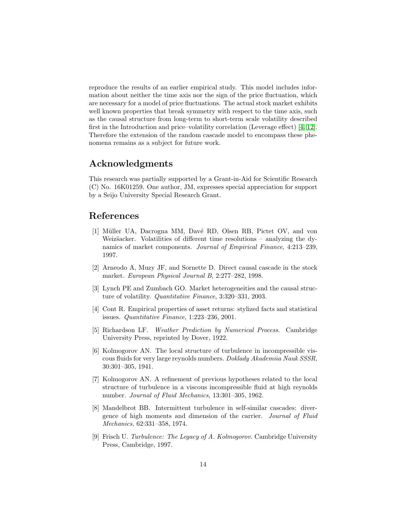reproduce the results of an earlier empirical study. This model includes information about neither the time axis nor the sign of the price fluctuation, which are necessary for a model of price fluctuations. The actual stock market exhibits well known properties that break symmetry with respect to the time axis, such as the causal structure from long-term to short-term scale volatility described first in the Introduction and price–volatility correlation (Leverage effect) [\[4,](#page-13-3) [12\]](#page-14-2). Therefore the extension of the random cascade model to encompass these phenomena remains as a subject for future work.

# Acknowledgments

This research was partially supported by a Grant-in-Aid for Scientific Research (C) No. 16K01259. One author, JM, expresses special appreciation for support by a Seijo University Special Research Grant.

# <span id="page-13-0"></span>References

- [1] Müller UA, Dacrogna MM, Davé RD, Olsen RB, Pictet OV, and von Weizäacker. Volatilities of different time resolutions – analyzing the dynamics of market components. *Journal of Empirical Finance*, 4:213–239, 1997.
- <span id="page-13-2"></span><span id="page-13-1"></span>[2] Arneodo A, Muzy JF, and Sornette D. Direct causal cascade in the stock market. *European Physical Journal B*, 2:277–282, 1998.
- [3] Lynch PE and Zumbach GO. Market heterogeneities and the causal structure of volatility. *Quantitative Finance*, 3:320–331, 2003.
- <span id="page-13-3"></span>[4] Cont R. Empirical properties of asset returns: stylized facts and statistical issues. *Quantitative Finance*, 1:223–236, 2001.
- <span id="page-13-4"></span>[5] Richardson LF. *Weather Prediction by Numerical Process*. Cambridge University Press, reprinted by Dover, 1922.
- <span id="page-13-5"></span>[6] Kolmogorov AN. The local structure of turbulence in incompressible viscous fluids for very large reynolds numbers. *Doklady Akademiia Nauk SSSR*, 30:301–305, 1941.
- <span id="page-13-6"></span>[7] Kolmogorov AN. A refinement of previous hypotheses related to the local structure of turbulence in a viscous incompressible fluid at high reynolds number. *Journal of Fluid Mechanics*, 13:301–305, 1962.
- <span id="page-13-7"></span>[8] Mandelbrot BB. Intermittent turbulence in self-similar cascades: divergence of high moments and dimension of the carrier. *Journal of Fluid Mechanics*, 62:331–358, 1974.
- <span id="page-13-8"></span>[9] Frisch U. *Turbulence: The Legacy of A. Kolmogorov*. Cambridge University Press, Cambridge, 1997.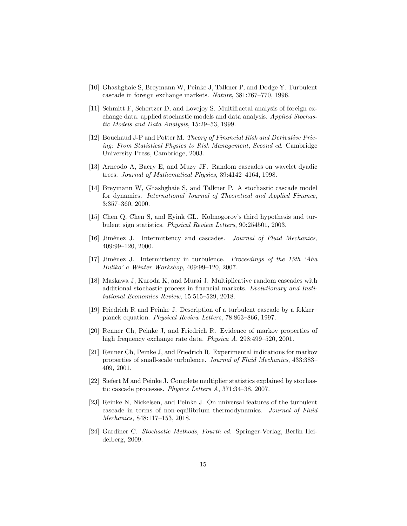- <span id="page-14-1"></span><span id="page-14-0"></span>[10] Ghashghaie S, Breymann W, Peinke J, Talkner P, and Dodge Y. Turbulent cascade in foreign exchange markets. *Nature*, 381:767–770, 1996.
- [11] Schmitt F, Schertzer D, and Lovejoy S. Multifractal analysis of foreign exchange data. applied stochastic models and data analysis. *Applied Stochastic Models and Data Analysis*, 15:29–53, 1999.
- <span id="page-14-2"></span>[12] Bouchaud J-P and Potter M. *Theory of Financial Risk and Derivative Pricing: From Statistical Physics to Risk Management, Second ed*. Cambridge University Press, Cambridge, 2003.
- <span id="page-14-4"></span><span id="page-14-3"></span>[13] Arneodo A, Bacry E, and Muzy JF. Random cascades on wavelet dyadic trees. *Journal of Mathematical Physics*, 39:4142–4164, 1998.
- [14] Breymann W, Ghashghaie S, and Talkner P. A stochastic cascade model for dynamics. *International Journal of Theoretical and Applied Finance*, 3:357–360, 2000.
- <span id="page-14-6"></span><span id="page-14-5"></span>[15] Chen Q, Chen S, and Eyink GL. Kolmogorov's third hypothesis and turbulent sign statistics. *Physical Review Letters*, 90:254501, 2003.
- [16] Jim´enez J. Intermittency and cascades. *Journal of Fluid Mechanics*, 409:99–120, 2000.
- <span id="page-14-7"></span>[17] Jim´enez J. Intermittency in turbulence. *Proceedings of the 15th 'Aha Huliko' a Winter Workshop*, 409:99–120, 2007.
- <span id="page-14-8"></span>[18] Maskawa J, Kuroda K, and Murai J. Multiplicative random cascades with additional stochastic process in financial markets. *Evolutionary and Institutional Economics Review*, 15:515–529, 2018.
- <span id="page-14-9"></span>[19] Friedrich R and Peinke J. Description of a turbulent cascade by a fokker– planck equation. *Physical Review Letters*, 78:863–866, 1997.
- <span id="page-14-10"></span>[20] Renner Ch, Peinke J, and Friedrich R. Evidence of markov properties of high frequency exchange rate data. *Physica A*, 298:499–520, 2001.
- <span id="page-14-11"></span>[21] Renner Ch, Peinke J, and Friedrich R. Experimental indications for markov properties of small-scale turbulence. *Journal of Fluid Mechanics*, 433:383– 409, 2001.
- <span id="page-14-12"></span>[22] Siefert M and Peinke J. Complete multiplier statistics explained by stochastic cascade processes. *Physics Letters A*, 371:34–38, 2007.
- <span id="page-14-13"></span>[23] Reinke N, Nickelsen, and Peinke J. On universal features of the turbulent cascade in terms of non-equilibrium thermodynamics. *Journal of Fluid Mechanics*, 848:117–153, 2018.
- <span id="page-14-14"></span>[24] Gardiner C. *Stochastic Methods, Fourth ed*. Springer-Verlag, Berlin Heidelberg, 2009.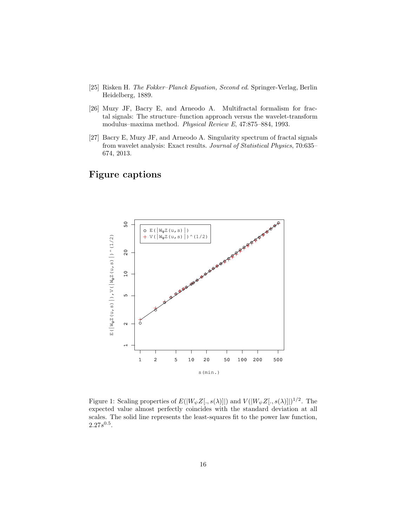- <span id="page-15-2"></span><span id="page-15-1"></span>[25] Risken H. *The Fokker–Planck Equation, Second ed*. Springer-Verlag, Berlin Heidelberg, 1889.
- [26] Muzy JF, Bacry E, and Arneodo A. Multifractal formalism for fractal signals: The structure–function approach versus the wavelet-transform modulus–maxima method. *Physical Review E*, 47:875–884, 1993.
- <span id="page-15-3"></span>[27] Bacry E, Muzy JF, and Arneodo A. Singularity spectrum of fractal signals from wavelet analysis: Exact results. *Journal of Statistical Physics*, 70:635– 674, 2013.

# Figure captions



<span id="page-15-0"></span>Figure 1: Scaling properties of  $E(|W_{\psi}Z[., s(\lambda)]|)$  and  $V(|W_{\psi}Z[., s(\lambda)]|)^{1/2}$ . The expected value almost perfectly coincides with the standard deviation at all scales. The solid line represents the least-squares fit to the power law function,  $2.27s^{0.5}$ .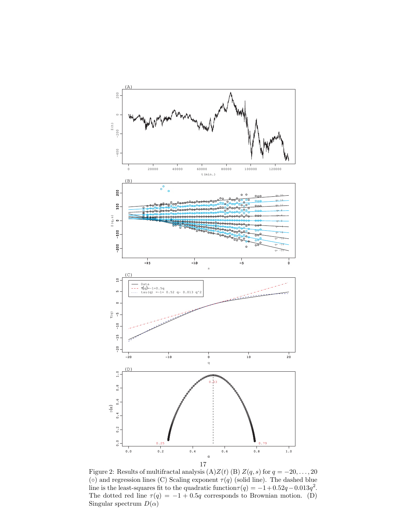

<span id="page-16-0"></span>Figure 2: Results of multifractal analysis (A) $Z(t)$  (B)  $Z(q,s)$  for  $q = -20, \ldots, 20$  $(\circ)$  and regression lines (C) Scaling exponent  $\tau(q)$  (solid line). The dashed blue line is the least-squares fit to the quadratic function  $\tau(q) = -1 + 0.52q - 0.013q^2$ . The dotted red line  $\tau(q) = -1 + 0.5q$  corresponds to Brownian motion. (D) Singular spectrum  $D(\alpha)$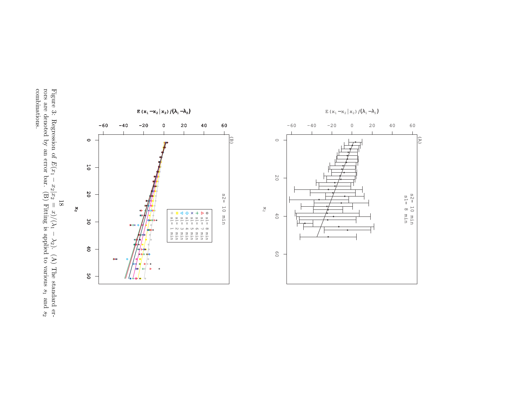Figure 3: Regression of  $E(x_1$ −  $x_2|x_2$  $\parallel$  $\chi)/$  $\sum$ −  $\lesssim$ ). (A) The standard errors are denoted by an error bar. (B) Fitting is applied to various  $s_1$ and  $s_2$ combinations.

<span id="page-17-0"></span>

 $\mathbb{E}$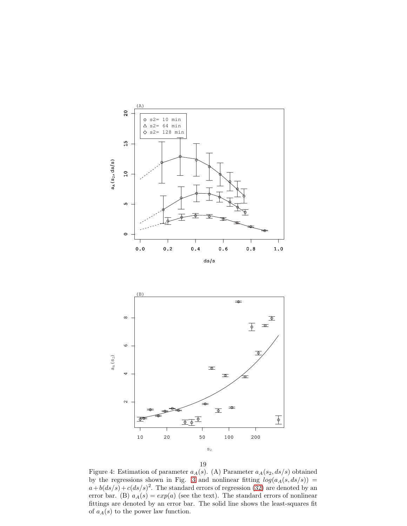



19

<span id="page-18-0"></span>Figure 4: Estimation of parameter  $a_A(s)$ . (A) Parameter  $a_A(s_2, ds/s)$  obtained by the regressions shown in Fig. [3](#page-17-0) and nonlinear fitting  $log(a_A(s, ds/s))$  =  $a+b(ds/s)+c(ds/s)^2$ . The standard errors of regression [\(32\)](#page-9-3) are denoted by an error bar. (B)  $a_A(s) = exp(a)$  (see the text). The standard errors of nonlinear fittings are denoted by an error bar. The solid line shows the least-squares fit of  $a_A(s)$  to the power law function.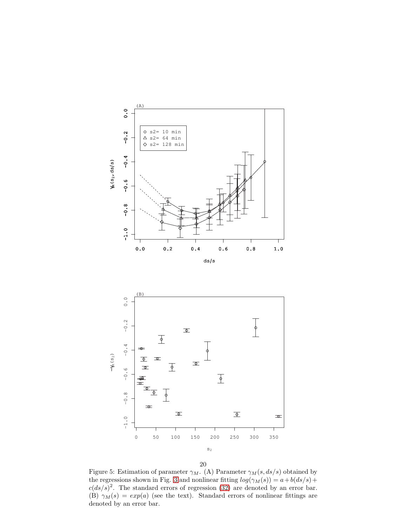



20

<span id="page-19-0"></span>Figure 5: Estimation of parameter  $\gamma_M$ . (A) Parameter  $\gamma_M(s, ds/s)$  obtained by the regressions shown in Fig. [3](#page-17-0) and nonlinear fitting  $log(\gamma_M(s)) = a + b(ds/s) +$  $c(ds/s)^2$ . The standard errors of regression [\(32\)](#page-9-3) are denoted by an error bar. (B)  $\gamma_M(s) = exp(a)$  (see the text). Standard errors of nonlinear fittings are denoted by an error bar.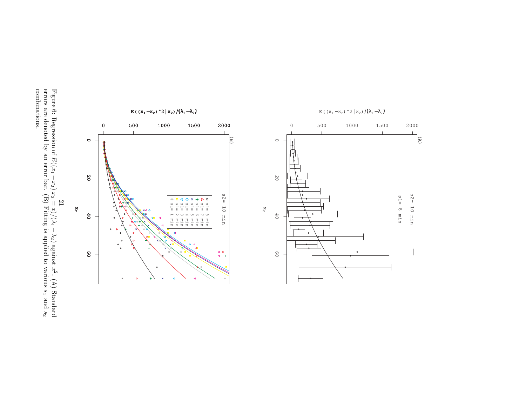Figure 6: Regression of  $E(x_1$ − $x_2)|x_2$  $\parallel$  $\chi)/$  $\sum$ − $\lesssim$ ) against  $x^2$ . (A) Standard errors are denoted by an error bar. (B) Fitting is applied to various  $s_1$ and  $s_2$ combinations.

<span id="page-20-0"></span>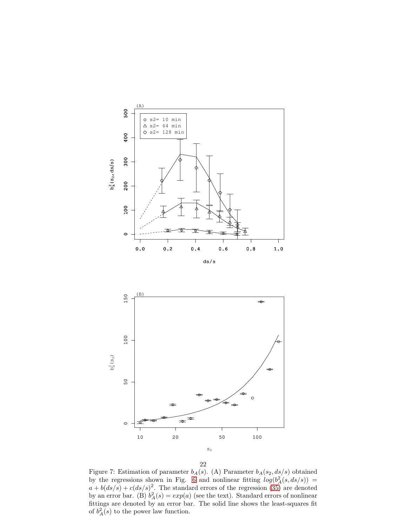







<span id="page-21-0"></span>Figure 7: Estimation of parameter  $b_A(s)$ . (A) Parameter  $b_A(s_2, ds/s)$  obtained by the regressions shown in Fig. [6](#page-20-0) and nonlinear fitting  $log(b_A^2(s, ds/s))$  =  $a + b(ds/s) + c(ds/s)^2$ . The standard errors of the regression [\(35\)](#page-10-2) are denoted by an error bar. (B)  $b_A^2(s) = exp(a)$  (see the text). Standard errors of nonlinear fittings are denoted by an error bar. The solid line shows the least-squares fit of  $b_A^2(s)$  to the power law function.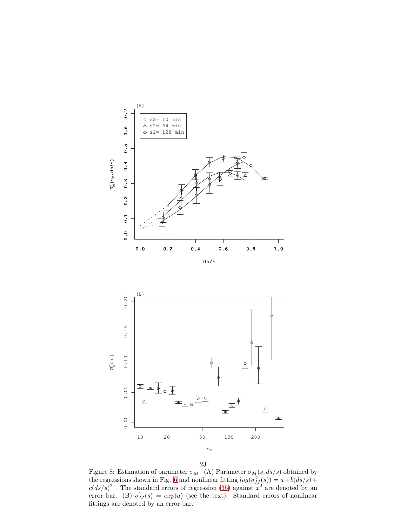



23

<span id="page-22-0"></span>Figure 8: Estimation of parameter  $\sigma_M$ . (A) Parameter  $\sigma_M(s, ds/s)$  obtained by the regressions shown in Fig. [6](#page-20-0) and nonlinear fitting  $log(\sigma_M^2(s)) = a + b(ds/s) +$  $c(ds/s)^2$ . The standard errors of regression [\(35\)](#page-10-2) against  $x^2$  are denoted by an error bar. (B)  $\sigma_M^2(s) = exp(a)$  (see the text). Standard errors of nonlinear fittings are denoted by an error bar.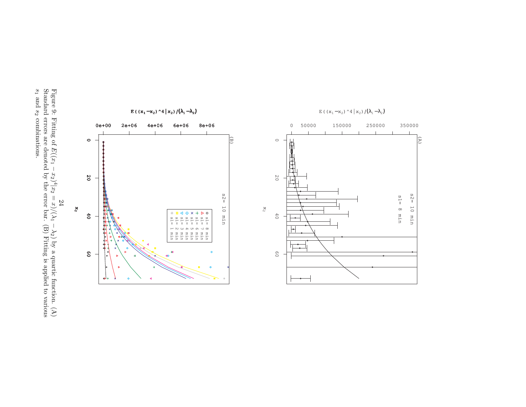

<span id="page-23-0"></span>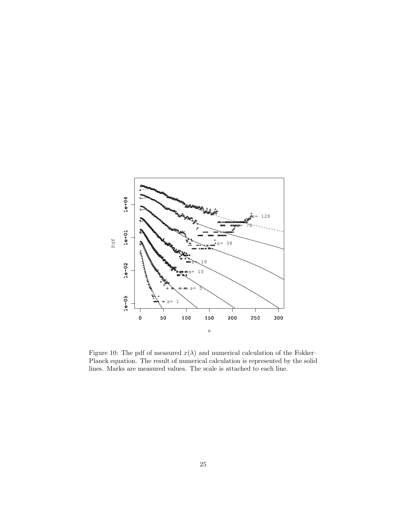

<span id="page-24-0"></span>Figure 10: The pdf of measured  $x(\lambda)$  and numerical calculation of the Fokker– Planck equation. The result of numerical calculation is represented by the solid lines. Marks are measured values. The scale is attached to each line.